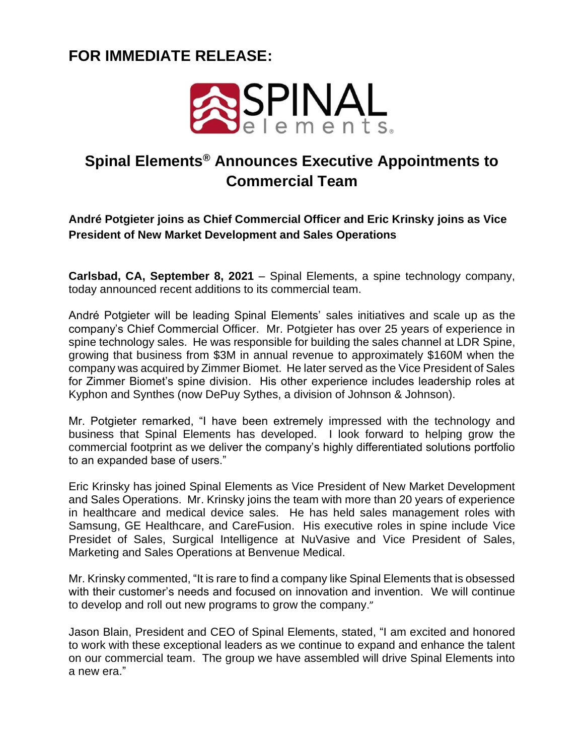## **FOR IMMEDIATE RELEASE:**



## **Spinal Elements® Announces Executive Appointments to Commercial Team**

**André Potgieter joins as Chief Commercial Officer and Eric Krinsky joins as Vice President of New Market Development and Sales Operations**

**Carlsbad, CA, September 8, 2021** – Spinal Elements, a spine technology company, today announced recent additions to its commercial team.

André Potgieter will be leading Spinal Elements' sales initiatives and scale up as the company's Chief Commercial Officer. Mr. Potgieter has over 25 years of experience in spine technology sales. He was responsible for building the sales channel at LDR Spine, growing that business from \$3M in annual revenue to approximately \$160M when the company was acquired by Zimmer Biomet. He later served as the Vice President of Sales for Zimmer Biomet's spine division. His other experience includes leadership roles at Kyphon and Synthes (now DePuy Sythes, a division of Johnson & Johnson).

Mr. Potgieter remarked, "I have been extremely impressed with the technology and business that Spinal Elements has developed. I look forward to helping grow the commercial footprint as we deliver the company's highly differentiated solutions portfolio to an expanded base of users."

Eric Krinsky has joined Spinal Elements as Vice President of New Market Development and Sales Operations. Mr. Krinsky joins the team with more than 20 years of experience in healthcare and medical device sales. He has held sales management roles with Samsung, GE Healthcare, and CareFusion. His executive roles in spine include Vice Presidet of Sales, Surgical Intelligence at NuVasive and Vice President of Sales, Marketing and Sales Operations at Benvenue Medical.

Mr. Krinsky commented, "It is rare to find a company like Spinal Elements that is obsessed with their customer's needs and focused on innovation and invention. We will continue to develop and roll out new programs to grow the company."

Jason Blain, President and CEO of Spinal Elements, stated, "I am excited and honored to work with these exceptional leaders as we continue to expand and enhance the talent on our commercial team. The group we have assembled will drive Spinal Elements into a new era."